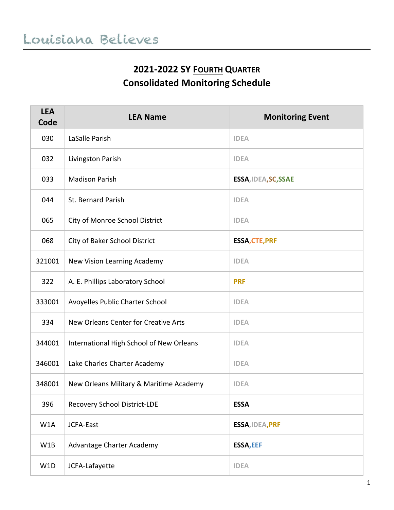## **2021-2022 SY FOURTH QUARTER Consolidated Monitoring Schedule**

| <b>LEA</b><br>Code | <b>LEA Name</b>                          | <b>Monitoring Event</b> |
|--------------------|------------------------------------------|-------------------------|
| 030                | LaSalle Parish                           | <b>IDEA</b>             |
| 032                | Livingston Parish                        | <b>IDEA</b>             |
| 033                | <b>Madison Parish</b>                    | ESSA, IDEA, SC, SSAE    |
| 044                | St. Bernard Parish                       | <b>IDEA</b>             |
| 065                | City of Monroe School District           | <b>IDEA</b>             |
| 068                | City of Baker School District            | <b>ESSA, CTE, PRF</b>   |
| 321001             | New Vision Learning Academy              | <b>IDEA</b>             |
| 322                | A. E. Phillips Laboratory School         | <b>PRF</b>              |
| 333001             | Avoyelles Public Charter School          | <b>IDEA</b>             |
| 334                | New Orleans Center for Creative Arts     | <b>IDEA</b>             |
| 344001             | International High School of New Orleans | <b>IDEA</b>             |
| 346001             | Lake Charles Charter Academy             | <b>IDEA</b>             |
| 348001             | New Orleans Military & Maritime Academy  | <b>IDEA</b>             |
| 396                | <b>Recovery School District-LDE</b>      | <b>ESSA</b>             |
| W1A                | JCFA-East                                | ESSA, IDEA, PRF         |
| W1B                | Advantage Charter Academy                | <b>ESSA, EEF</b>        |
| W1D                | JCFA-Lafayette                           | <b>IDEA</b>             |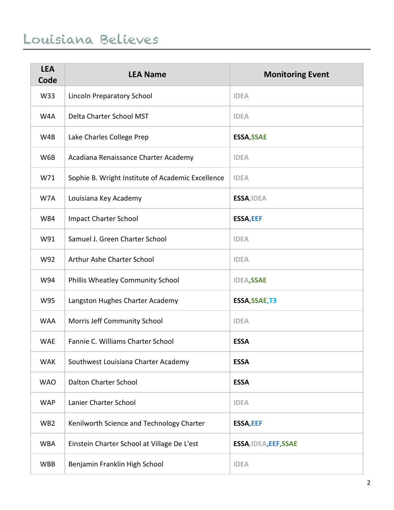## Louisiana Believes

| <b>LEA</b><br>Code | <b>LEA Name</b>                                   | <b>Monitoring Event</b> |
|--------------------|---------------------------------------------------|-------------------------|
| W33                | Lincoln Preparatory School                        | <b>IDEA</b>             |
| W4A                | Delta Charter School MST                          | <b>IDEA</b>             |
| W4B                | Lake Charles College Prep                         | <b>ESSA, SSAE</b>       |
| W6B                | Acadiana Renaissance Charter Academy              | <b>IDEA</b>             |
| W71                | Sophie B. Wright Institute of Academic Excellence | <b>IDEA</b>             |
| W7A                | Louisiana Key Academy                             | ESSA, IDEA              |
| W84                | <b>Impact Charter School</b>                      | <b>ESSA, EEF</b>        |
| W91                | Samuel J. Green Charter School                    | <b>IDEA</b>             |
| W92                | Arthur Ashe Charter School                        | <b>IDEA</b>             |
| W94                | Phillis Wheatley Community School                 | <b>IDEA,SSAE</b>        |
| W95                | Langston Hughes Charter Academy                   | ESSA, SSAE, T3          |
| <b>WAA</b>         | Morris Jeff Community School                      | <b>IDEA</b>             |
| <b>WAE</b>         | Fannie C. Williams Charter School                 | <b>ESSA</b>             |
| <b>WAK</b>         | Southwest Louisiana Charter Academy               | <b>ESSA</b>             |
| <b>WAO</b>         | <b>Dalton Charter School</b>                      | <b>ESSA</b>             |
| <b>WAP</b>         | Lanier Charter School                             | <b>IDEA</b>             |
| WB <sub>2</sub>    | Kenilworth Science and Technology Charter         | <b>ESSA, EEF</b>        |
| <b>WBA</b>         | Einstein Charter School at Village De L'est       | ESSA, IDEA, EEF, SSAE   |
| <b>WBB</b>         | Benjamin Franklin High School                     | <b>IDEA</b>             |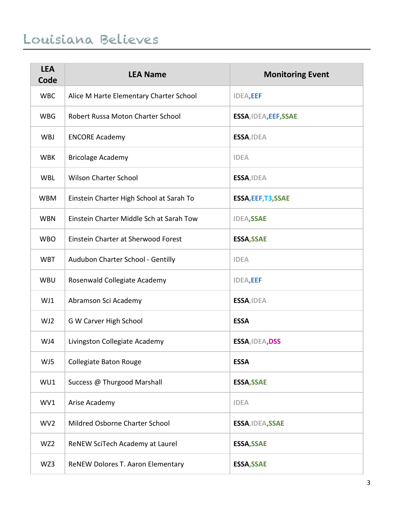## Louisiana Believes

| <b>LEA</b><br>Code | <b>LEA Name</b>                          | <b>Monitoring Event</b> |
|--------------------|------------------------------------------|-------------------------|
| <b>WBC</b>         | Alice M Harte Elementary Charter School  | <b>IDEA,EEF</b>         |
| <b>WBG</b>         | Robert Russa Moton Charter School        | ESSA, IDEA, EEF, SSAE   |
| WBJ                | <b>ENCORE Academy</b>                    | ESSA, IDEA              |
| <b>WBK</b>         | <b>Bricolage Academy</b>                 | <b>IDEA</b>             |
| <b>WBL</b>         | <b>Wilson Charter School</b>             | ESSA, IDEA              |
| <b>WBM</b>         | Einstein Charter High School at Sarah To | ESSA, EEF, T3, SSAE     |
| <b>WBN</b>         | Einstein Charter Middle Sch at Sarah Tow | <b>IDEA,SSAE</b>        |
| <b>WBO</b>         | Einstein Charter at Sherwood Forest      | <b>ESSA, SSAE</b>       |
| <b>WBT</b>         | Audubon Charter School - Gentilly        | <b>IDEA</b>             |
| <b>WBU</b>         | Rosenwald Collegiate Academy             | <b>IDEA,EEF</b>         |
| WJ1                | Abramson Sci Academy                     | ESSA, IDEA              |
| WJ2                | G W Carver High School                   | <b>ESSA</b>             |
| WJ4                | Livingston Collegiate Academy            | ESSA, IDEA, DSS         |
| WJ5                | Collegiate Baton Rouge                   | <b>ESSA</b>             |
| WU1                | Success @ Thurgood Marshall              | <b>ESSA, SSAE</b>       |
| WV1                | Arise Academy                            | <b>IDEA</b>             |
| WV <sub>2</sub>    | Mildred Osborne Charter School           | ESSA, IDEA, SSAE        |
| WZ2                | ReNEW SciTech Academy at Laurel          | <b>ESSA, SSAE</b>       |
| WZ3                | ReNEW Dolores T. Aaron Elementary        | <b>ESSA, SSAE</b>       |